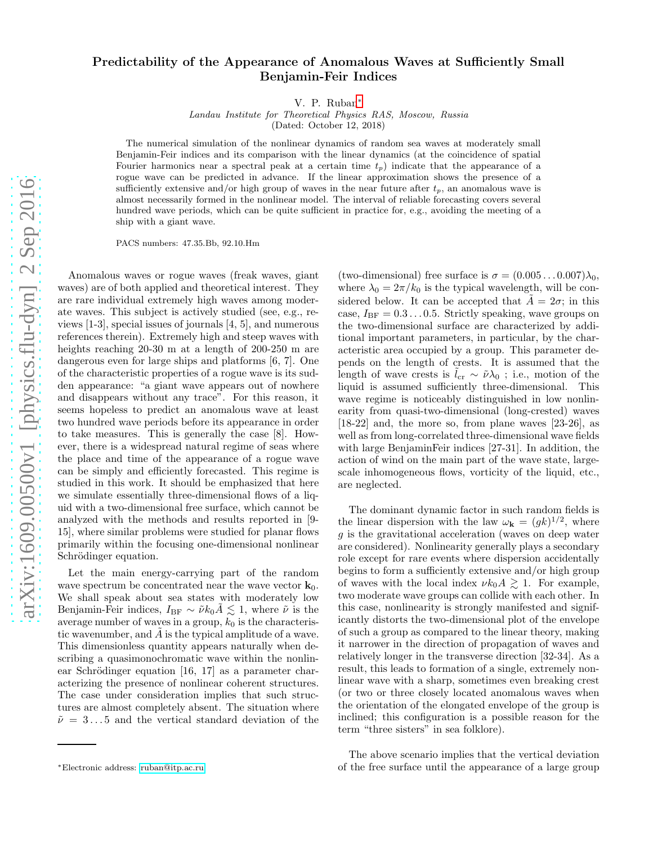## Predictability of the Appearance of Anomalous Waves at Sufficiently Small Benjamin-Feir Indices

V. P. Ruban[∗](#page-0-0)

Landau Institute for Theoretical Physics RAS, Moscow, Russia

(Dated: October 12, 2018)

The numerical simulation of the nonlinear dynamics of random sea waves at moderately small Benjamin-Feir indices and its comparison with the linear dynamics (at the coincidence of spatial Fourier harmonics near a spectral peak at a certain time  $t_p$ ) indicate that the appearance of a rogue wave can be predicted in advance. If the linear approximation shows the presence of a sufficiently extensive and/or high group of waves in the near future after  $t_p$ , an anomalous wave is almost necessarily formed in the nonlinear model. The interval of reliable forecasting covers several hundred wave periods, which can be quite sufficient in practice for, e.g., avoiding the meeting of a ship with a giant wave.

PACS numbers: 47.35.Bb, 92.10.Hm

Anomalous waves or rogue waves (freak waves, giant waves) are of both applied and theoretical interest. They are rare individual extremely high waves among moderate waves. This subject is actively studied (see, e.g., reviews [1-3], special issues of journals [4, 5], and numerous references therein). Extremely high and steep waves with heights reaching 20-30 m at a length of 200-250 m are dangerous even for large ships and platforms [6, 7]. One of the characteristic properties of a rogue wave is its sudden appearance: "a giant wave appears out of nowhere and disappears without any trace". For this reason, it seems hopeless to predict an anomalous wave at least two hundred wave periods before its appearance in order to take measures. This is generally the case [8]. However, there is a widespread natural regime of seas where the place and time of the appearance of a rogue wave can be simply and efficiently forecasted. This regime is studied in this work. It should be emphasized that here we simulate essentially three-dimensional flows of a liquid with a two-dimensional free surface, which cannot be analyzed with the methods and results reported in [9- 15], where similar problems were studied for planar flows primarily within the focusing one-dimensional nonlinear Schrödinger equation.

Let the main energy-carrying part of the random wave spectrum be concentrated near the wave vector  $\mathbf{k}_0$ . We shall speak about sea states with moderately low Benjamin-Feir indices,  $I_{BF} \sim \tilde{\nu} k_0 \tilde{A} \lesssim 1$ , where  $\tilde{\nu}$  is the average number of waves in a group,  $k_0$  is the characteristic wavenumber, and  $A$  is the typical amplitude of a wave. This dimensionless quantity appears naturally when describing a quasimonochromatic wave within the nonlinear Schrödinger equation  $[16, 17]$  as a parameter characterizing the presence of nonlinear coherent structures. The case under consideration implies that such structures are almost completely absent. The situation where  $\tilde{\nu} = 3 \dots 5$  and the vertical standard deviation of the

(two-dimensional) free surface is  $\sigma = (0.005 \dots 0.007) \lambda_0$ , where  $\lambda_0 = 2\pi/k_0$  is the typical wavelength, will be considered below. It can be accepted that  $A = 2\sigma$ ; in this case,  $I_{BF} = 0.3 \dots 0.5$ . Strictly speaking, wave groups on the two-dimensional surface are characterized by additional important parameters, in particular, by the characteristic area occupied by a group. This parameter depends on the length of crests. It is assumed that the length of wave crests is  $\tilde{l}_{cr} \sim \tilde{\nu} \lambda_0$ ; i.e., motion of the liquid is assumed sufficiently three-dimensional. This wave regime is noticeably distinguished in low nonlinearity from quasi-two-dimensional (long-crested) waves [18-22] and, the more so, from plane waves [23-26], as well as from long-correlated three-dimensional wave fields with large BenjaminFeir indices [27-31]. In addition, the action of wind on the main part of the wave state, largescale inhomogeneous flows, vorticity of the liquid, etc., are neglected.

The dominant dynamic factor in such random fields is the linear dispersion with the law  $\omega_{\mathbf{k}} = (gk)^{1/2}$ , where g is the gravitational acceleration (waves on deep water are considered). Nonlinearity generally plays a secondary role except for rare events where dispersion accidentally begins to form a sufficiently extensive and/or high group of waves with the local index  $\nu k_0 A \gtrsim 1$ . For example, two moderate wave groups can collide with each other. In this case, nonlinearity is strongly manifested and significantly distorts the two-dimensional plot of the envelope of such a group as compared to the linear theory, making it narrower in the direction of propagation of waves and relatively longer in the transverse direction [32-34]. As a result, this leads to formation of a single, extremely nonlinear wave with a sharp, sometimes even breaking crest (or two or three closely located anomalous waves when the orientation of the elongated envelope of the group is inclined; this configuration is a possible reason for the term "three sisters" in sea folklore).

The above scenario implies that the vertical deviation of the free surface until the appearance of a large group

<span id="page-0-0"></span><sup>∗</sup>Electronic address: [ruban@itp.ac.ru](mailto:ruban@itp.ac.ru)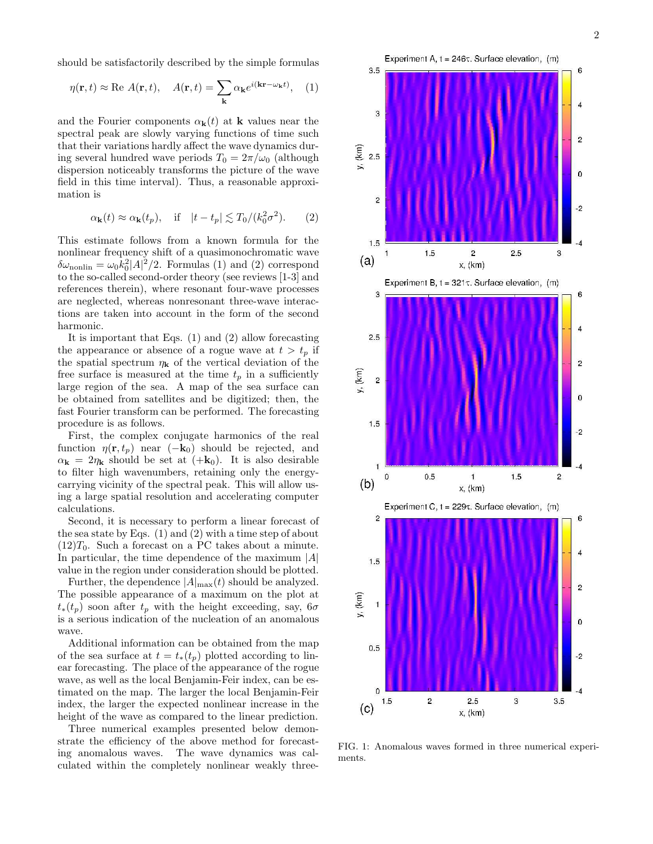should be satisfactorily described by the simple formulas

$$
\eta(\mathbf{r},t) \approx \text{Re } A(\mathbf{r},t), \quad A(\mathbf{r},t) = \sum_{\mathbf{k}} \alpha_{\mathbf{k}} e^{i(\mathbf{k}\mathbf{r}-\omega_{\mathbf{k}}t)}, \quad (1)
$$

and the Fourier components  $\alpha_{\bf k}(t)$  at **k** values near the spectral peak are slowly varying functions of time such that their variations hardly affect the wave dynamics during several hundred wave periods  $T_0 = 2\pi/\omega_0$  (although dispersion noticeably transforms the picture of the wave field in this time interval). Thus, a reasonable approximation is

$$
\alpha_{\mathbf{k}}(t) \approx \alpha_{\mathbf{k}}(t_p), \quad \text{if} \quad |t - t_p| \lesssim T_0 / (k_0^2 \sigma^2). \tag{2}
$$

This estimate follows from a known formula for the nonlinear frequency shift of a quasimonochromatic wave  $\delta\omega_{\text{nonlin}} = \omega_0 k_0^2 |A|^2/2$ . Formulas (1) and (2) correspond to the so-called second-order theory (see reviews [1-3] and references therein), where resonant four-wave processes are neglected, whereas nonresonant three-wave interactions are taken into account in the form of the second harmonic.

It is important that Eqs. (1) and (2) allow forecasting the appearance or absence of a rogue wave at  $t > t_p$  if the spatial spectrum  $\eta_{\mathbf{k}}$  of the vertical deviation of the free surface is measured at the time  $t_p$  in a sufficiently large region of the sea. A map of the sea surface can be obtained from satellites and be digitized; then, the fast Fourier transform can be performed. The forecasting procedure is as follows.

First, the complex conjugate harmonics of the real function  $\eta(\mathbf{r}, t_p)$  near  $(-\mathbf{k}_0)$  should be rejected, and  $\alpha_{\mathbf{k}} = 2\eta_{\mathbf{k}}$  should be set at  $(+\mathbf{k}_0)$ . It is also desirable to filter high wavenumbers, retaining only the energycarrying vicinity of the spectral peak. This will allow using a large spatial resolution and accelerating computer calculations.

Second, it is necessary to perform a linear forecast of the sea state by Eqs.  $(1)$  and  $(2)$  with a time step of about  $(12)T_0$ . Such a forecast on a PC takes about a minute. In particular, the time dependence of the maximum  $|A|$ value in the region under consideration should be plotted.

Further, the dependence  $|A|_{\text{max}}(t)$  should be analyzed. The possible appearance of a maximum on the plot at  $t_*(t_p)$  soon after  $t_p$  with the height exceeding, say, 6 $\sigma$ is a serious indication of the nucleation of an anomalous wave.

Additional information can be obtained from the map of the sea surface at  $t = t_*(t_p)$  plotted according to linear forecasting. The place of the appearance of the rogue wave, as well as the local Benjamin-Feir index, can be estimated on the map. The larger the local Benjamin-Feir index, the larger the expected nonlinear increase in the height of the wave as compared to the linear prediction.

Three numerical examples presented below demonstrate the efficiency of the above method for forecasting anomalous waves. The wave dynamics was calculated within the completely nonlinear weakly three-



FIG. 1: Anomalous waves formed in three numerical experiments.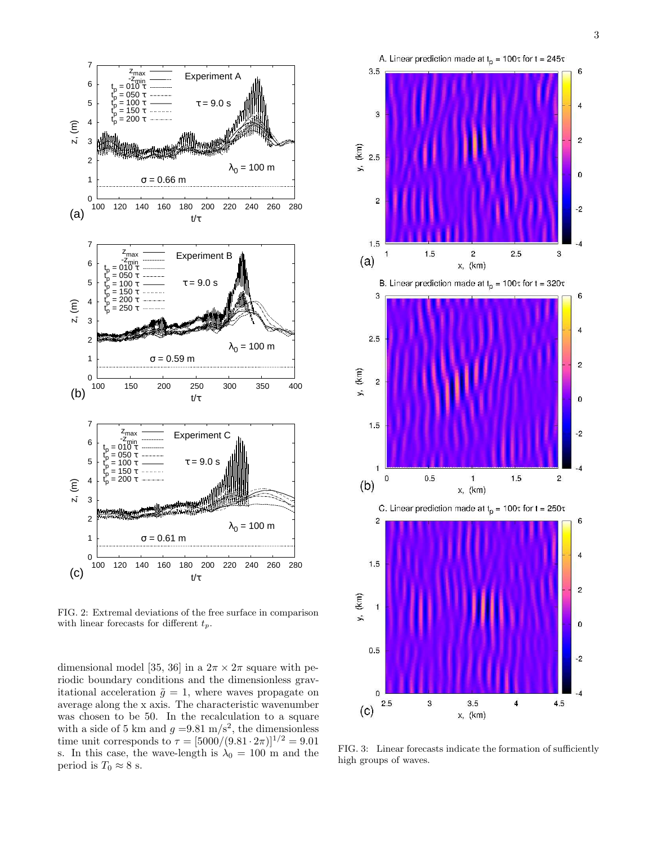

FIG. 2: Extremal deviations of the free surface in comparison with linear forecasts for different  $t_p$ .

dimensional model [35, 36] in a  $2\pi \times 2\pi$  square with periodic boundary conditions and the dimensionless gravitational acceleration  $\tilde{g} = 1$ , where waves propagate on average along the x axis. The characteristic wavenumber was chosen to be 50. In the recalculation to a square with a side of 5 km and  $g = 9.81 \text{ m/s}^2$ , the dimensionless time unit corresponds to  $\tau = [5000/(9.81 \cdot 2\pi)]^{1/2} = 9.01$ s. In this case, the wave-length is  $\lambda_0 = 100$  m and the period is  $T_0 \approx 8$  s.



FIG. 3: Linear forecasts indicate the formation of sufficiently high groups of waves.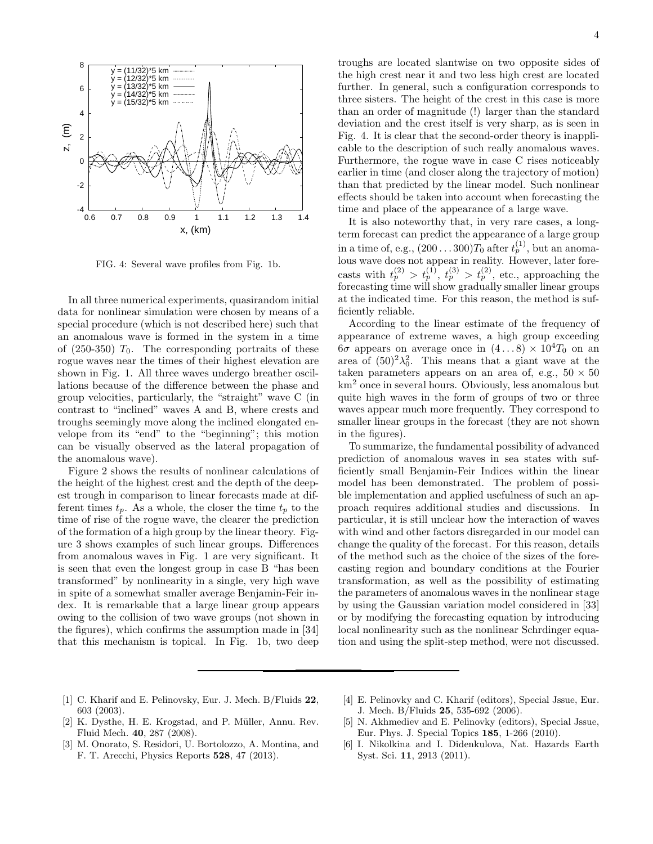

FIG. 4: Several wave profiles from Fig. 1b.

In all three numerical experiments, quasirandom initial data for nonlinear simulation were chosen by means of a special procedure (which is not described here) such that an anomalous wave is formed in the system in a time of  $(250-350)$   $T_0$ . The corresponding portraits of these rogue waves near the times of their highest elevation are shown in Fig. 1. All three waves undergo breather oscillations because of the difference between the phase and group velocities, particularly, the "straight" wave C (in contrast to "inclined" waves A and B, where crests and troughs seemingly move along the inclined elongated envelope from its "end" to the "beginning"; this motion can be visually observed as the lateral propagation of the anomalous wave).

Figure 2 shows the results of nonlinear calculations of the height of the highest crest and the depth of the deepest trough in comparison to linear forecasts made at different times  $t_p$ . As a whole, the closer the time  $t_p$  to the time of rise of the rogue wave, the clearer the prediction of the formation of a high group by the linear theory. Figure 3 shows examples of such linear groups. Differences from anomalous waves in Fig. 1 are very significant. It is seen that even the longest group in case B "has been transformed" by nonlinearity in a single, very high wave in spite of a somewhat smaller average Benjamin-Feir index. It is remarkable that a large linear group appears owing to the collision of two wave groups (not shown in the figures), which confirms the assumption made in [34] that this mechanism is topical. In Fig. 1b, two deep

troughs are located slantwise on two opposite sides of the high crest near it and two less high crest are located further. In general, such a configuration corresponds to three sisters. The height of the crest in this case is more than an order of magnitude (!) larger than the standard deviation and the crest itself is very sharp, as is seen in Fig. 4. It is clear that the second-order theory is inapplicable to the description of such really anomalous waves. Furthermore, the rogue wave in case C rises noticeably earlier in time (and closer along the trajectory of motion) than that predicted by the linear model. Such nonlinear effects should be taken into account when forecasting the time and place of the appearance of a large wave.

It is also noteworthy that, in very rare cases, a longterm forecast can predict the appearance of a large group in a time of, e.g.,  $(200...300)T_0$  after  $t_p^{(1)}$ , but an anomalous wave does not appear in reality. However, later forecasts with  $t_p^{(2)} > t_p^{(1)}$ ,  $t_p^{(3)} > t_p^{(2)}$ , etc., approaching the forecasting time will show gradually smaller linear groups at the indicated time. For this reason, the method is sufficiently reliable.

According to the linear estimate of the frequency of appearance of extreme waves, a high group exceeding  $6\sigma$  appears on average once in  $(4...8) \times 10^4 T_0$  on an area of  $(50)^2\lambda_0^2$ . This means that a giant wave at the taken parameters appears on an area of, e.g.,  $50 \times 50$ km<sup>2</sup> once in several hours. Obviously, less anomalous but quite high waves in the form of groups of two or three waves appear much more frequently. They correspond to smaller linear groups in the forecast (they are not shown in the figures).

To summarize, the fundamental possibility of advanced prediction of anomalous waves in sea states with sufficiently small Benjamin-Feir Indices within the linear model has been demonstrated. The problem of possible implementation and applied usefulness of such an approach requires additional studies and discussions. In particular, it is still unclear how the interaction of waves with wind and other factors disregarded in our model can change the quality of the forecast. For this reason, details of the method such as the choice of the sizes of the forecasting region and boundary conditions at the Fourier transformation, as well as the possibility of estimating the parameters of anomalous waves in the nonlinear stage by using the Gaussian variation model considered in [33] or by modifying the forecasting equation by introducing local nonlinearity such as the nonlinear Schrdinger equation and using the split-step method, were not discussed.

- [1] C. Kharif and E. Pelinovsky, Eur. J. Mech. B/Fluids 22, 603 (2003).
- [2] K. Dysthe, H. E. Krogstad, and P. Müller, Annu. Rev. Fluid Mech. 40, 287 (2008).
- [3] M. Onorato, S. Residori, U. Bortolozzo, A. Montina, and F. T. Arecchi, Physics Reports 528, 47 (2013).
- [4] E. Pelinovky and C. Kharif (editors), Special Jssue, Eur. J. Mech. B/Fluids 25, 535-692 (2006).
- [5] N. Akhmediev and E. Pelinovky (editors), Special Jssue, Eur. Phys. J. Special Topics 185, 1-266 (2010).
- [6] I. Nikolkina and I. Didenkulova, Nat. Hazards Earth Syst. Sci. 11, 2913 (2011).